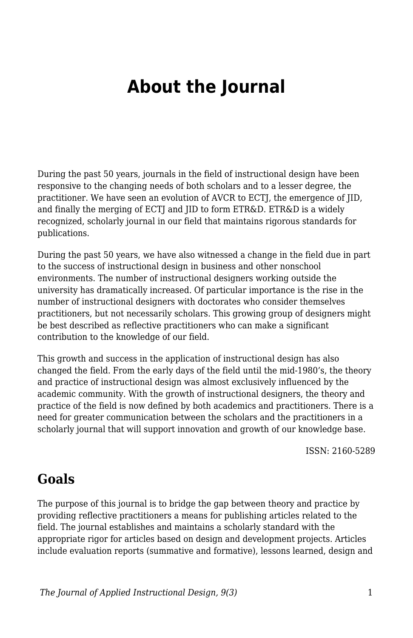# **About the Journal**

During the past 50 years, journals in the field of instructional design have been responsive to the changing needs of both scholars and to a lesser degree, the practitioner. We have seen an evolution of AVCR to ECTJ, the emergence of JID, and finally the merging of ECTJ and JID to form ETR&D. ETR&D is a widely recognized, scholarly journal in our field that maintains rigorous standards for publications.

During the past 50 years, we have also witnessed a change in the field due in part to the success of instructional design in business and other nonschool environments. The number of instructional designers working outside the university has dramatically increased. Of particular importance is the rise in the number of instructional designers with doctorates who consider themselves practitioners, but not necessarily scholars. This growing group of designers might be best described as reflective practitioners who can make a significant contribution to the knowledge of our field.

This growth and success in the application of instructional design has also changed the field. From the early days of the field until the mid-1980's, the theory and practice of instructional design was almost exclusively influenced by the academic community. With the growth of instructional designers, the theory and practice of the field is now defined by both academics and practitioners. There is a need for greater communication between the scholars and the practitioners in a scholarly journal that will support innovation and growth of our knowledge base.

ISSN: 2160-5289

### **Goals**

The purpose of this journal is to bridge the gap between theory and practice by providing reflective practitioners a means for publishing articles related to the field. The journal establishes and maintains a scholarly standard with the appropriate rigor for articles based on design and development projects. Articles include evaluation reports (summative and formative), lessons learned, design and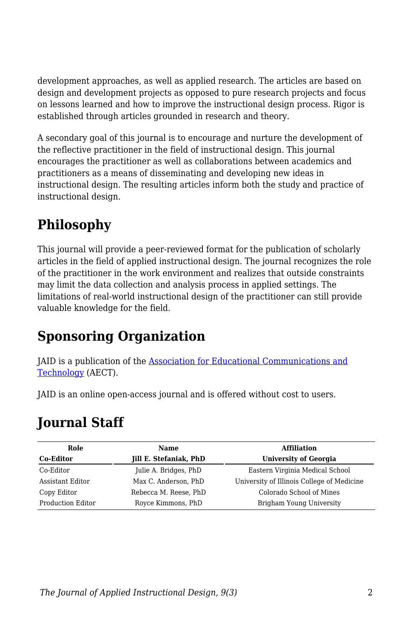development approaches, as well as applied research. The articles are based on design and development projects as opposed to pure research projects and focus on lessons learned and how to improve the instructional design process. Rigor is established through articles grounded in research and theory.

A secondary goal of this journal is to encourage and nurture the development of the reflective practitioner in the field of instructional design. This journal encourages the practitioner as well as collaborations between academics and practitioners as a means of disseminating and developing new ideas in instructional design. The resulting articles inform both the study and practice of instructional design.

# **Philosophy**

This journal will provide a peer-reviewed format for the publication of scholarly articles in the field of applied instructional design. The journal recognizes the role of the practitioner in the work environment and realizes that outside constraints may limit the data collection and analysis process in applied settings. The limitations of real-world instructional design of the practitioner can still provide valuable knowledge for the field.

# **Sponsoring Organization**

JAID is a publication of the [Association for Educational Communications and](https://www.aect.org/) [Technology](https://www.aect.org/) (AECT).

JAID is an online open-access journal and is offered without cost to users.

# **Journal Staff**

| Role                     | <b>Name</b>                   | <b>Affiliation</b>                         |
|--------------------------|-------------------------------|--------------------------------------------|
| <b>Co-Editor</b>         | <b>Jill E. Stefaniak, PhD</b> | <b>University of Georgia</b>               |
| Co-Editor                | Julie A. Bridges, PhD         | Eastern Virginia Medical School            |
| Assistant Editor         | Max C. Anderson, PhD          | University of Illinois College of Medicine |
| Copy Editor              | Rebecca M. Reese, PhD         | Colorado School of Mines                   |
| <b>Production Editor</b> | Royce Kimmons, PhD            | Brigham Young University                   |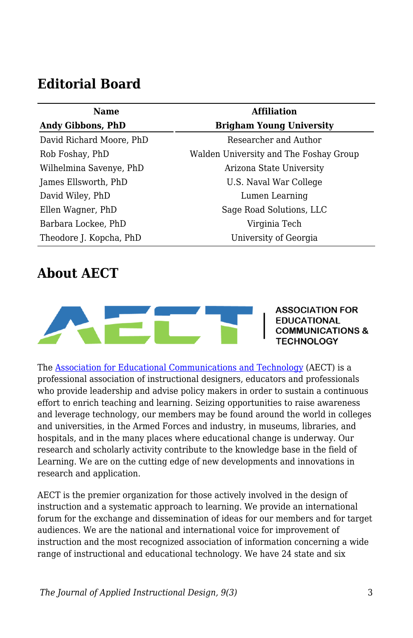### **Editorial Board**

| <b>Name</b>              | <b>Affiliation</b>                     |  |
|--------------------------|----------------------------------------|--|
| Andy Gibbons, PhD        | <b>Brigham Young University</b>        |  |
| David Richard Moore, PhD | Researcher and Author                  |  |
| Rob Foshay, PhD          | Walden University and The Foshay Group |  |
| Wilhelmina Savenye, PhD  | Arizona State University               |  |
| James Ellsworth, PhD     | U.S. Naval War College                 |  |
| David Wiley, PhD         | Lumen Learning                         |  |
| Ellen Wagner, PhD        | Sage Road Solutions, LLC               |  |
| Barbara Lockee, PhD      | Virginia Tech                          |  |
| Theodore J. Kopcha, PhD  | University of Georgia                  |  |

### **About AECT**



The [Association for Educational Communications and Technology](https://www.aect.org/) (AECT) is a professional association of instructional designers, educators and professionals who provide leadership and advise policy makers in order to sustain a continuous effort to enrich teaching and learning. Seizing opportunities to raise awareness and leverage technology, our members may be found around the world in colleges and universities, in the Armed Forces and industry, in museums, libraries, and hospitals, and in the many places where educational change is underway. Our research and scholarly activity contribute to the knowledge base in the field of Learning. We are on the cutting edge of new developments and innovations in research and application.

AECT is the premier organization for those actively involved in the design of instruction and a systematic approach to learning. We provide an international forum for the exchange and dissemination of ideas for our members and for target audiences. We are the national and international voice for improvement of instruction and the most recognized association of information concerning a wide range of instructional and educational technology. We have 24 state and six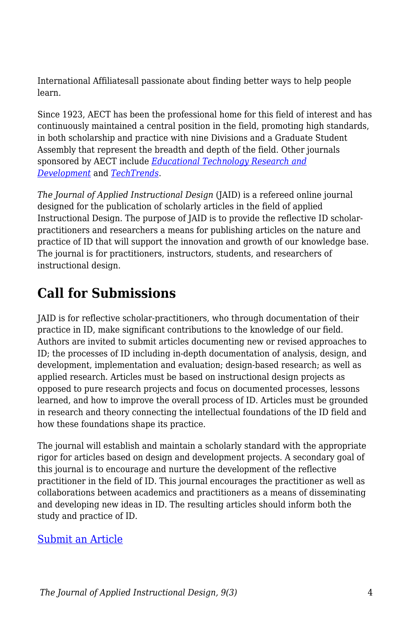International Affiliatesall passionate about finding better ways to help people learn.

Since 1923, AECT has been the professional home for this field of interest and has continuously maintained a central position in the field, promoting high standards, in both scholarship and practice with nine Divisions and a Graduate Student Assembly that represent the breadth and depth of the field. Other journals sponsored by AECT include *[Educational Technology Research and](https://www.springer.com/journal/11423) [Development](https://www.springer.com/journal/11423)* and *[TechTrends](https://www.springer.com/journal/11528)*.

*The Journal of Applied Instructional Design* (JAID) is a refereed online journal designed for the publication of scholarly articles in the field of applied Instructional Design. The purpose of JAID is to provide the reflective ID scholarpractitioners and researchers a means for publishing articles on the nature and practice of ID that will support the innovation and growth of our knowledge base. The journal is for practitioners, instructors, students, and researchers of instructional design.

# **Call for Submissions**

JAID is for reflective scholar-practitioners, who through documentation of their practice in ID, make significant contributions to the knowledge of our field. Authors are invited to submit articles documenting new or revised approaches to ID; the processes of ID including in-depth documentation of analysis, design, and development, implementation and evaluation; design-based research; as well as applied research. Articles must be based on instructional design projects as opposed to pure research projects and focus on documented processes, lessons learned, and how to improve the overall process of ID. Articles must be grounded in research and theory connecting the intellectual foundations of the ID field and how these foundations shape its practice.

The journal will establish and maintain a scholarly standard with the appropriate rigor for articles based on design and development projects. A secondary goal of this journal is to encourage and nurture the development of the reflective practitioner in the field of ID. This journal encourages the practitioner as well as collaborations between academics and practitioners as a means of disseminating and developing new ideas in ID. The resulting articles should inform both the study and practice of ID.

#### [Submit an Article](https://docs.google.com/forms/d/e/1FAIpQLSdetYatKzxU7poSBjfLgKIJ-cXUT5aFDj7XVADK4B-pZTSNRQ/viewform)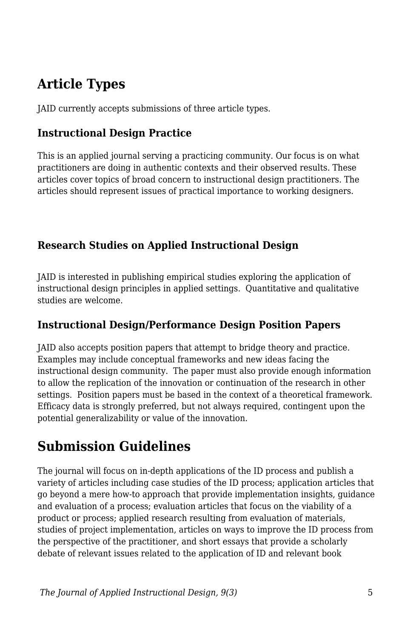# **Article Types**

JAID currently accepts submissions of three article types.

#### **Instructional Design Practice**

This is an applied journal serving a practicing community. Our focus is on what practitioners are doing in authentic contexts and their observed results. These articles cover topics of broad concern to instructional design practitioners. The articles should represent issues of practical importance to working designers.

#### **Research Studies on Applied Instructional Design**

JAID is interested in publishing empirical studies exploring the application of instructional design principles in applied settings. Quantitative and qualitative studies are welcome.

#### **Instructional Design/Performance Design Position Papers**

JAID also accepts position papers that attempt to bridge theory and practice. Examples may include conceptual frameworks and new ideas facing the instructional design community. The paper must also provide enough information to allow the replication of the innovation or continuation of the research in other settings. Position papers must be based in the context of a theoretical framework. Efficacy data is strongly preferred, but not always required, contingent upon the potential generalizability or value of the innovation.

### **Submission Guidelines**

The journal will focus on in-depth applications of the ID process and publish a variety of articles including case studies of the ID process; application articles that go beyond a mere how-to approach that provide implementation insights, guidance and evaluation of a process; evaluation articles that focus on the viability of a product or process; applied research resulting from evaluation of materials, studies of project implementation, articles on ways to improve the ID process from the perspective of the practitioner, and short essays that provide a scholarly debate of relevant issues related to the application of ID and relevant book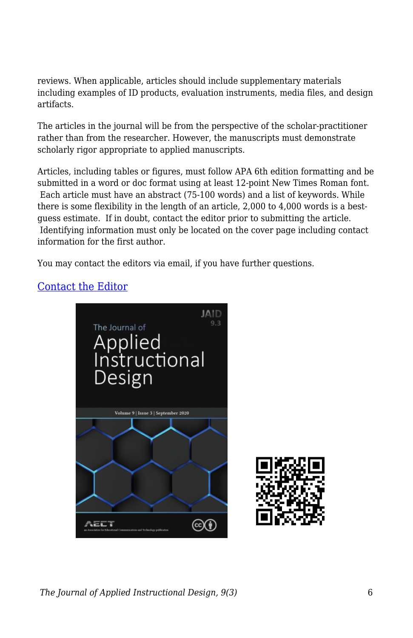reviews. When applicable, articles should include supplementary materials including examples of ID products, evaluation instruments, media files, and design artifacts.

The articles in the journal will be from the perspective of the scholar-practitioner rather than from the researcher. However, the manuscripts must demonstrate scholarly rigor appropriate to applied manuscripts.

Articles, including tables or figures, must follow APA 6th edition formatting and be submitted in a word or doc format using at least 12-point New Times Roman font. Each article must have an abstract (75-100 words) and a list of keywords. While there is some flexibility in the length of an article, 2,000 to 4,000 words is a bestguess estimate. If in doubt, contact the editor prior to submitting the article. Identifying information must only be located on the cover page including contact information for the first author.

You may contact the editors via email, if you have further questions.

#### [Contact the Editor](mailto:jill.stefaniak@uga.edu?subject=JAID%20Question)